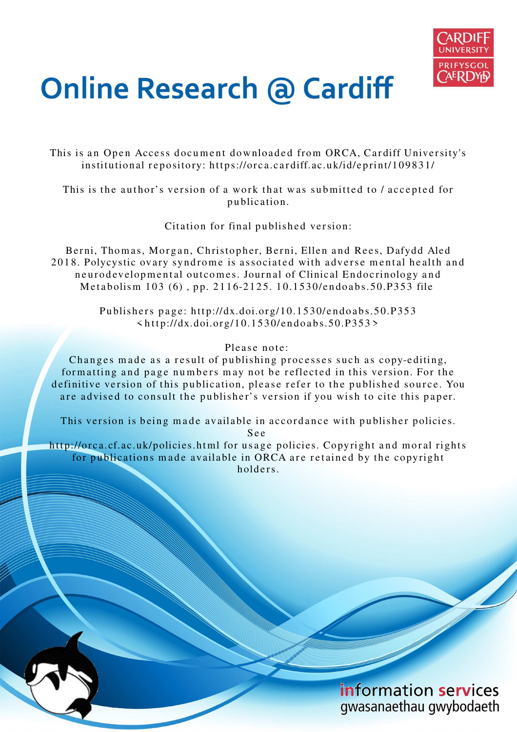

# **Online Research @ Cardiff**

This is an Open Access document downloaded from ORCA, Cardiff University's institutional repository: https://orca.cardiff.ac.uk/id/eprint/109831/

This is the author's version of a work that was submitted to / accepted for p u blication.

Citation for final published version:

Berni, Thomas, Morgan, Christopher, Berni, Ellen and Rees, Dafydd Aled 2018. Polycystic ovary syndrome is associated with adverse mental health and neurodevelopmental outcomes. Journal of Clinical Endocrinology and Metabolism 103 (6), pp. 2116-2125. 10.1530/endoabs.50.P353 file

> Publishers page: http://dx.doi.org/10.1530/endoabs.50.P353  $\langle http://dx.doi.org/10.1530/endoabs.50.P353\rangle$

## Please note:

Changes made as a result of publishing processes such as copy-editing, formatting and page numbers may not be reflected in this version. For the definitive version of this publication, please refer to the published source. You are advised to consult the publisher's version if you wish to cite this paper.

This version is being made available in accordance with publisher policies. S e e

http://orca.cf.ac.uk/policies.html for usage policies. Copyright and moral rights for publications made available in ORCA are retained by the copyright holders

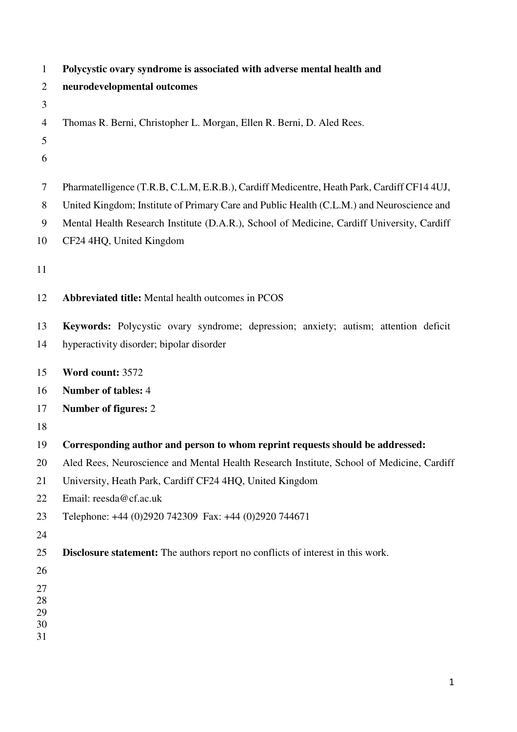| $\mathbf{1}$   | Polycystic ovary syndrome is associated with adverse mental health and                     |
|----------------|--------------------------------------------------------------------------------------------|
| $\overline{2}$ | neurodevelopmental outcomes                                                                |
| 3              |                                                                                            |
| 4              | Thomas R. Berni, Christopher L. Morgan, Ellen R. Berni, D. Aled Rees.                      |
| 5              |                                                                                            |
| 6              |                                                                                            |
| 7              | Pharmatelligence (T.R.B, C.L.M, E.R.B.), Cardiff Medicentre, Heath Park, Cardiff CF14 4UJ, |
| 8              | United Kingdom; Institute of Primary Care and Public Health (C.L.M.) and Neuroscience and  |
| 9              | Mental Health Research Institute (D.A.R.), School of Medicine, Cardiff University, Cardiff |
| 10             | CF24 4HQ, United Kingdom                                                                   |
| 11             |                                                                                            |
| 12             | Abbreviated title: Mental health outcomes in PCOS                                          |
| 13             | Keywords: Polycystic ovary syndrome; depression; anxiety; autism; attention deficit        |
| 14             | hyperactivity disorder; bipolar disorder                                                   |
| 15             | Word count: 3572                                                                           |
| 16             | <b>Number of tables: 4</b>                                                                 |
| 17             | Number of figures: 2                                                                       |
| 18             |                                                                                            |
| 19             | Corresponding author and person to whom reprint requests should be addressed:              |
| 20             | Aled Rees, Neuroscience and Mental Health Research Institute, School of Medicine, Cardiff  |
| 21             | University, Heath Park, Cardiff CF24 4HQ, United Kingdom                                   |
| 22             | Email: reesda@cf.ac.uk                                                                     |
| 23             | Telephone: +44 (0)2920 742309 Fax: +44 (0)2920 744671                                      |
| 24             |                                                                                            |
| 25             | <b>Disclosure statement:</b> The authors report no conflicts of interest in this work.     |
| 26             |                                                                                            |
| 27             |                                                                                            |
| 28<br>29       |                                                                                            |
| 30             |                                                                                            |
| 31             |                                                                                            |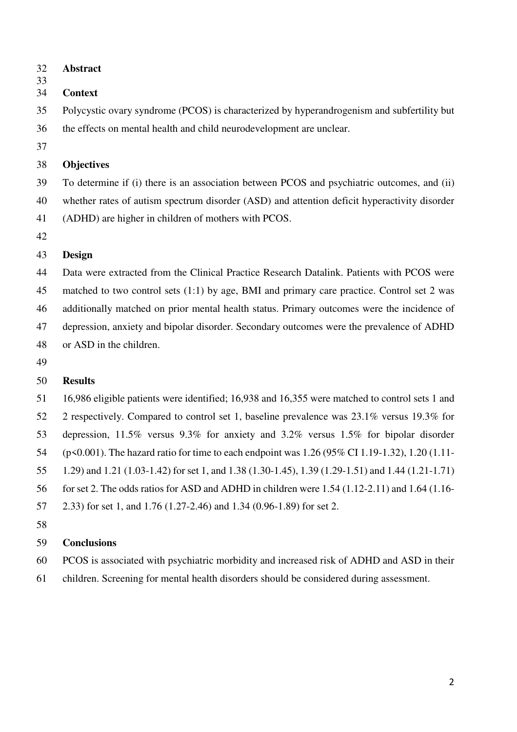- 32 **Abstract**
- 33

## 34 **Context**

35 Polycystic ovary syndrome (PCOS) is characterized by hyperandrogenism and subfertility but 36 the effects on mental health and child neurodevelopment are unclear.

37

## 38 **Objectives**

39 To determine if (i) there is an association between PCOS and psychiatric outcomes, and (ii) 40 whether rates of autism spectrum disorder (ASD) and attention deficit hyperactivity disorder 41 (ADHD) are higher in children of mothers with PCOS.

42

# 43 **Design**

44 Data were extracted from the Clinical Practice Research Datalink. Patients with PCOS were 45 matched to two control sets (1:1) by age, BMI and primary care practice. Control set 2 was 46 additionally matched on prior mental health status. Primary outcomes were the incidence of 47 depression, anxiety and bipolar disorder. Secondary outcomes were the prevalence of ADHD 48 or ASD in the children.

49

# 50 **Results**

51 16,986 eligible patients were identified; 16,938 and 16,355 were matched to control sets 1 and 52 2 respectively. Compared to control set 1, baseline prevalence was 23.1% versus 19.3% for 53 depression, 11.5% versus 9.3% for anxiety and 3.2% versus 1.5% for bipolar disorder 54 (p<0.001). The hazard ratio for time to each endpoint was 1.26 (95% CI 1.19-1.32), 1.20 (1.11- 55 1.29) and 1.21 (1.03-1.42) for set 1, and 1.38 (1.30-1.45), 1.39 (1.29-1.51) and 1.44 (1.21-1.71)

- 56 for set 2. The odds ratios for ASD and ADHD in children were 1.54 (1.12-2.11) and 1.64 (1.16-
- 57 2.33) for set 1, and 1.76 (1.27-2.46) and 1.34 (0.96-1.89) for set 2.
- 58

# 59 **Conclusions**

- 60 PCOS is associated with psychiatric morbidity and increased risk of ADHD and ASD in their
- 61 children. Screening for mental health disorders should be considered during assessment.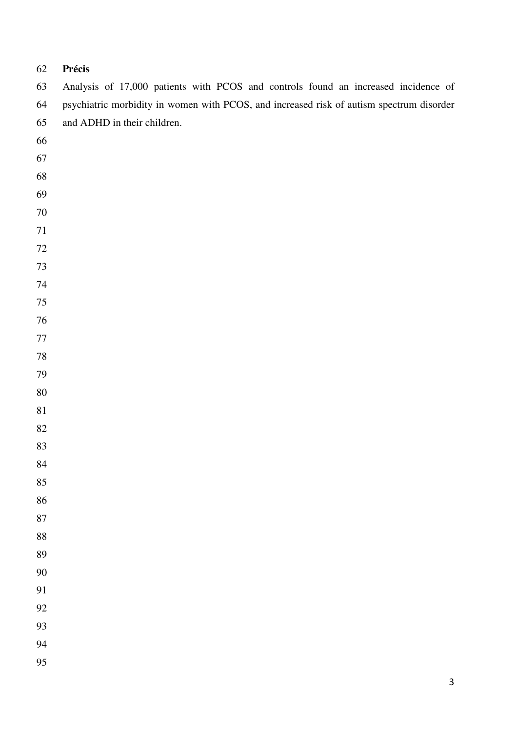# **Précis**

| 63     | Analysis of 17,000 patients with PCOS and controls found an increased incidence of       |
|--------|------------------------------------------------------------------------------------------|
| 64     | psychiatric morbidity in women with PCOS, and increased risk of autism spectrum disorder |
| 65     | and ADHD in their children.                                                              |
| 66     |                                                                                          |
| 67     |                                                                                          |
| 68     |                                                                                          |
| 69     |                                                                                          |
| $70\,$ |                                                                                          |
| $71\,$ |                                                                                          |
| $72\,$ |                                                                                          |
| $73\,$ |                                                                                          |
| $74\,$ |                                                                                          |
| 75     |                                                                                          |
| $76\,$ |                                                                                          |
| $77\,$ |                                                                                          |
| $78\,$ |                                                                                          |
| 79     |                                                                                          |
| $80\,$ |                                                                                          |
| $81\,$ |                                                                                          |
| 82     |                                                                                          |
| 83     |                                                                                          |
| 84     |                                                                                          |
| 85     |                                                                                          |
| 86     |                                                                                          |
| 87     |                                                                                          |
| 88     |                                                                                          |
| 89     |                                                                                          |
| 90     |                                                                                          |
| 91     |                                                                                          |
| 92     |                                                                                          |
| 93     |                                                                                          |
| 94     |                                                                                          |
| 95     |                                                                                          |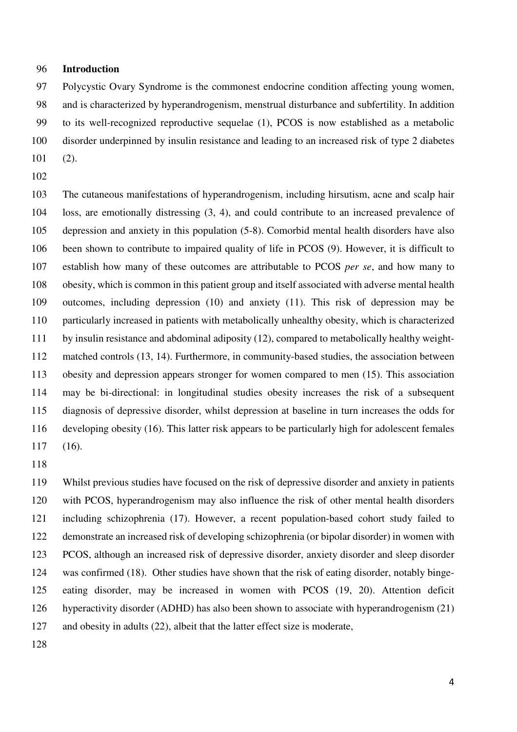### 96 **Introduction**

97 Polycystic Ovary Syndrome is the commonest endocrine condition affecting young women, 98 and is characterized by hyperandrogenism, menstrual disturbance and subfertility. In addition 99 to its well-recognized reproductive sequelae (1), PCOS is now established as a metabolic 100 disorder underpinned by insulin resistance and leading to an increased risk of type 2 diabetes 101 (2).

102

103 The cutaneous manifestations of hyperandrogenism, including hirsutism, acne and scalp hair 104 loss, are emotionally distressing (3, 4), and could contribute to an increased prevalence of 105 depression and anxiety in this population (5-8). Comorbid mental health disorders have also 106 been shown to contribute to impaired quality of life in PCOS (9). However, it is difficult to 107 establish how many of these outcomes are attributable to PCOS *per se*, and how many to 108 obesity, which is common in this patient group and itself associated with adverse mental health 109 outcomes, including depression (10) and anxiety (11). This risk of depression may be 110 particularly increased in patients with metabolically unhealthy obesity, which is characterized 111 by insulin resistance and abdominal adiposity (12), compared to metabolically healthy weight-112 matched controls (13, 14). Furthermore, in community-based studies, the association between 113 obesity and depression appears stronger for women compared to men (15). This association 114 may be bi-directional: in longitudinal studies obesity increases the risk of a subsequent 115 diagnosis of depressive disorder, whilst depression at baseline in turn increases the odds for 116 developing obesity (16). This latter risk appears to be particularly high for adolescent females 117 (16).

118

119 Whilst previous studies have focused on the risk of depressive disorder and anxiety in patients 120 with PCOS, hyperandrogenism may also influence the risk of other mental health disorders 121 including schizophrenia (17). However, a recent population-based cohort study failed to 122 demonstrate an increased risk of developing schizophrenia (or bipolar disorder) in women with 123 PCOS, although an increased risk of depressive disorder, anxiety disorder and sleep disorder 124 was confirmed (18). Other studies have shown that the risk of eating disorder, notably binge-125 eating disorder, may be increased in women with PCOS (19, 20). Attention deficit 126 hyperactivity disorder (ADHD) has also been shown to associate with hyperandrogenism (21) 127 and obesity in adults (22), albeit that the latter effect size is moderate,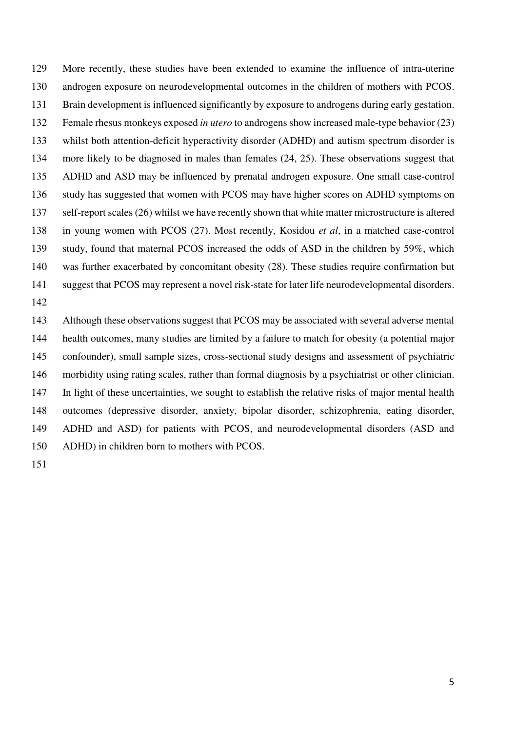129 More recently, these studies have been extended to examine the influence of intra-uterine 130 androgen exposure on neurodevelopmental outcomes in the children of mothers with PCOS. 131 Brain development is influenced significantly by exposure to androgens during early gestation. 132 Female rhesus monkeys exposed *in utero* to androgens show increased male-type behavior (23) 133 whilst both attention-deficit hyperactivity disorder (ADHD) and autism spectrum disorder is 134 more likely to be diagnosed in males than females (24, 25). These observations suggest that 135 ADHD and ASD may be influenced by prenatal androgen exposure. One small case-control 136 study has suggested that women with PCOS may have higher scores on ADHD symptoms on 137 self-report scales (26) whilst we have recently shown that white matter microstructure is altered 138 in young women with PCOS (27). Most recently, Kosidou *et al*, in a matched case-control 139 study, found that maternal PCOS increased the odds of ASD in the children by 59%, which 140 was further exacerbated by concomitant obesity (28). These studies require confirmation but 141 suggest that PCOS may represent a novel risk-state for later life neurodevelopmental disorders. 142

143 Although these observations suggest that PCOS may be associated with several adverse mental 144 health outcomes, many studies are limited by a failure to match for obesity (a potential major 145 confounder), small sample sizes, cross-sectional study designs and assessment of psychiatric 146 morbidity using rating scales, rather than formal diagnosis by a psychiatrist or other clinician. 147 In light of these uncertainties, we sought to establish the relative risks of major mental health 148 outcomes (depressive disorder, anxiety, bipolar disorder, schizophrenia, eating disorder, 149 ADHD and ASD) for patients with PCOS, and neurodevelopmental disorders (ASD and 150 ADHD) in children born to mothers with PCOS.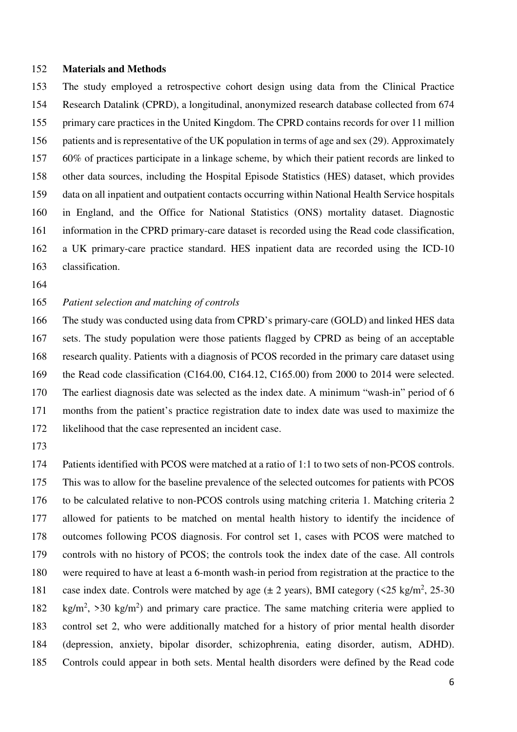#### 152 **Materials and Methods**

153 The study employed a retrospective cohort design using data from the Clinical Practice 154 Research Datalink (CPRD), a longitudinal, anonymized research database collected from 674 155 primary care practices in the United Kingdom. The CPRD contains records for over 11 million 156 patients and is representative of the UK population in terms of age and sex (29). Approximately 157 60% of practices participate in a linkage scheme, by which their patient records are linked to 158 other data sources, including the Hospital Episode Statistics (HES) dataset, which provides 159 data on all inpatient and outpatient contacts occurring within National Health Service hospitals 160 in England, and the Office for National Statistics (ONS) mortality dataset. Diagnostic 161 information in the CPRD primary-care dataset is recorded using the Read code classification, 162 a UK primary-care practice standard. HES inpatient data are recorded using the ICD-10 163 classification.

164

## 165 *Patient selection and matching of controls*

166 The study was conducted using data from CPRD's primary-care (GOLD) and linked HES data 167 sets. The study population were those patients flagged by CPRD as being of an acceptable 168 research quality. Patients with a diagnosis of PCOS recorded in the primary care dataset using 169 the Read code classification (C164.00, C164.12, C165.00) from 2000 to 2014 were selected. 170 The earliest diagnosis date was selected as the index date. A minimum "wash-in" period of 6 171 months from the patient's practice registration date to index date was used to maximize the 172 likelihood that the case represented an incident case.

173

174 Patients identified with PCOS were matched at a ratio of 1:1 to two sets of non-PCOS controls. 175 This was to allow for the baseline prevalence of the selected outcomes for patients with PCOS 176 to be calculated relative to non-PCOS controls using matching criteria 1. Matching criteria 2 177 allowed for patients to be matched on mental health history to identify the incidence of 178 outcomes following PCOS diagnosis. For control set 1, cases with PCOS were matched to 179 controls with no history of PCOS; the controls took the index date of the case. All controls 180 were required to have at least a 6-month wash-in period from registration at the practice to the 181 case index date. Controls were matched by age  $(\pm 2 \text{ years})$ , BMI category (<25 kg/m<sup>2</sup>, 25-30 182 kg/m<sup>2</sup>, >30 kg/m<sup>2</sup>) and primary care practice. The same matching criteria were applied to 183 control set 2, who were additionally matched for a history of prior mental health disorder 184 (depression, anxiety, bipolar disorder, schizophrenia, eating disorder, autism, ADHD). 185 Controls could appear in both sets. Mental health disorders were defined by the Read code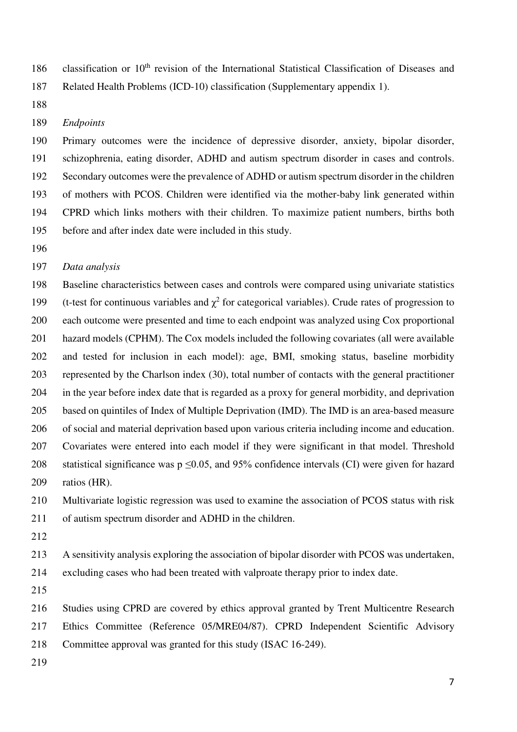186 classification or 10<sup>th</sup> revision of the International Statistical Classification of Diseases and 187 Related Health Problems (ICD-10) classification (Supplementary appendix 1).

188

#### 189 *Endpoints*

190 Primary outcomes were the incidence of depressive disorder, anxiety, bipolar disorder, 191 schizophrenia, eating disorder, ADHD and autism spectrum disorder in cases and controls. 192 Secondary outcomes were the prevalence of ADHD or autism spectrum disorder in the children 193 of mothers with PCOS. Children were identified via the mother-baby link generated within 194 CPRD which links mothers with their children. To maximize patient numbers, births both 195 before and after index date were included in this study.

196

### 197 *Data analysis*

198 Baseline characteristics between cases and controls were compared using univariate statistics 199 (t-test for continuous variables and  $\chi^2$  for categorical variables). Crude rates of progression to 200 each outcome were presented and time to each endpoint was analyzed using Cox proportional 201 hazard models (CPHM). The Cox models included the following covariates (all were available 202 and tested for inclusion in each model): age, BMI, smoking status, baseline morbidity 203 represented by the Charlson index (30), total number of contacts with the general practitioner 204 in the year before index date that is regarded as a proxy for general morbidity, and deprivation 205 based on quintiles of Index of Multiple Deprivation (IMD). The IMD is an area-based measure 206 of social and material deprivation based upon various criteria including income and education. 207 Covariates were entered into each model if they were significant in that model. Threshold 208 statistical significance was  $p \le 0.05$ , and 95% confidence intervals (CI) were given for hazard 209 ratios (HR).

210 Multivariate logistic regression was used to examine the association of PCOS status with risk 211 of autism spectrum disorder and ADHD in the children.

212

213 A sensitivity analysis exploring the association of bipolar disorder with PCOS was undertaken,

214 excluding cases who had been treated with valproate therapy prior to index date.

215

216 Studies using CPRD are covered by ethics approval granted by Trent Multicentre Research 217 Ethics Committee (Reference 05/MRE04/87). CPRD Independent Scientific Advisory 218 Committee approval was granted for this study (ISAC 16-249).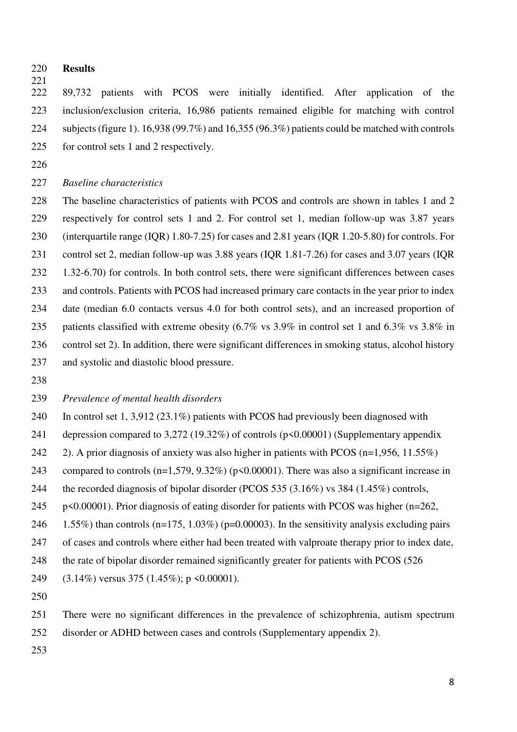220 **Results**

 $\frac{221}{222}$ 

222 89,732 patients with PCOS were initially identified. After application of the 223 inclusion/exclusion criteria, 16,986 patients remained eligible for matching with control 224 subjects(figure 1). 16,938 (99.7%) and 16,355 (96.3%) patients could be matched with controls 225 for control sets 1 and 2 respectively.

226

## 227 *Baseline characteristics*

228 The baseline characteristics of patients with PCOS and controls are shown in tables 1 and 2 229 respectively for control sets 1 and 2. For control set 1, median follow-up was 3.87 years 230 (interquartile range (IQR) 1.80-7.25) for cases and 2.81 years (IQR 1.20-5.80) for controls. For 231 control set 2, median follow-up was 3.88 years (IQR 1.81-7.26) for cases and 3.07 years (IQR 232 1.32-6.70) for controls. In both control sets, there were significant differences between cases 233 and controls. Patients with PCOS had increased primary care contacts in the year prior to index 234 date (median 6.0 contacts versus 4.0 for both control sets), and an increased proportion of 235 patients classified with extreme obesity (6.7% vs 3.9% in control set 1 and 6.3% vs 3.8% in 236 control set 2). In addition, there were significant differences in smoking status, alcohol history 237 and systolic and diastolic blood pressure.

238

## 239 *Prevalence of mental health disorders*

240 In control set 1, 3,912 (23.1%) patients with PCOS had previously been diagnosed with 241 depression compared to 3,272 (19.32%) of controls (p<0.00001) (Supplementary appendix 242 2). A prior diagnosis of anxiety was also higher in patients with PCOS (n=1,956, 11.55%) 243 compared to controls (n=1,579, 9.32%) (p<0.00001). There was also a significant increase in 244 the recorded diagnosis of bipolar disorder (PCOS 535 (3.16%) vs 384 (1.45%) controls, 245 p<0.00001). Prior diagnosis of eating disorder for patients with PCOS was higher (n=262, 246 1.55%) than controls (n=175, 1.03%) (p=0.00003). In the sensitivity analysis excluding pairs 247 of cases and controls where either had been treated with valproate therapy prior to index date, 248 the rate of bipolar disorder remained significantly greater for patients with PCOS (526

249 (3.14%) versus 375 (1.45%); p <0.00001).

250

251 There were no significant differences in the prevalence of schizophrenia, autism spectrum 252 disorder or ADHD between cases and controls (Supplementary appendix 2).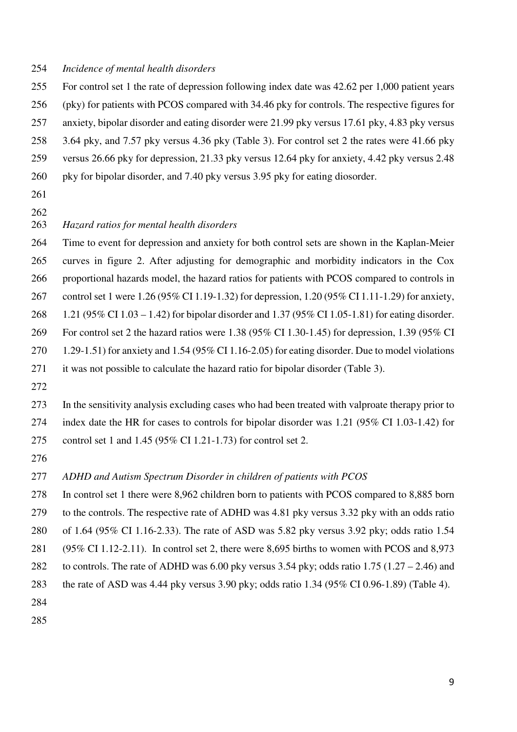## 254 *Incidence of mental health disorders*

- 255 For control set 1 the rate of depression following index date was 42.62 per 1,000 patient years 256 (pky) for patients with PCOS compared with 34.46 pky for controls. The respective figures for 257 anxiety, bipolar disorder and eating disorder were 21.99 pky versus 17.61 pky, 4.83 pky versus 258 3.64 pky, and 7.57 pky versus 4.36 pky (Table 3). For control set 2 the rates were 41.66 pky 259 versus 26.66 pky for depression, 21.33 pky versus 12.64 pky for anxiety, 4.42 pky versus 2.48 260 pky for bipolar disorder, and 7.40 pky versus 3.95 pky for eating diosorder.
- 261
- 262

## 263 *Hazard ratios for mental health disorders*

264 Time to event for depression and anxiety for both control sets are shown in the Kaplan-Meier 265 curves in figure 2. After adjusting for demographic and morbidity indicators in the Cox 266 proportional hazards model, the hazard ratios for patients with PCOS compared to controls in 267 control set 1 were 1.26 (95% CI 1.19-1.32) for depression, 1.20 (95% CI 1.11-1.29) for anxiety, 268 1.21 (95% CI 1.03 – 1.42) for bipolar disorder and 1.37 (95% CI 1.05-1.81) for eating disorder. 269 For control set 2 the hazard ratios were 1.38 (95% CI 1.30-1.45) for depression, 1.39 (95% CI 270 1.29-1.51) for anxiety and 1.54 (95% CI 1.16-2.05) for eating disorder. Due to model violations 271 it was not possible to calculate the hazard ratio for bipolar disorder (Table 3).

272

273 In the sensitivity analysis excluding cases who had been treated with valproate therapy prior to 274 index date the HR for cases to controls for bipolar disorder was 1.21 (95% CI 1.03-1.42) for 275 control set 1 and 1.45 (95% CI 1.21-1.73) for control set 2.

276

## 277 *ADHD and Autism Spectrum Disorder in children of patients with PCOS*

278 In control set 1 there were 8,962 children born to patients with PCOS compared to 8,885 born 279 to the controls. The respective rate of ADHD was 4.81 pky versus 3.32 pky with an odds ratio 280 of 1.64 (95% CI 1.16-2.33). The rate of ASD was 5.82 pky versus 3.92 pky; odds ratio 1.54 281 (95% CI 1.12-2.11). In control set 2, there were 8,695 births to women with PCOS and 8,973 282 to controls. The rate of ADHD was 6.00 pky versus 3.54 pky; odds ratio  $1.75$  ( $1.27 - 2.46$ ) and 283 the rate of ASD was 4.44 pky versus 3.90 pky; odds ratio 1.34 (95% CI 0.96-1.89) (Table 4). 284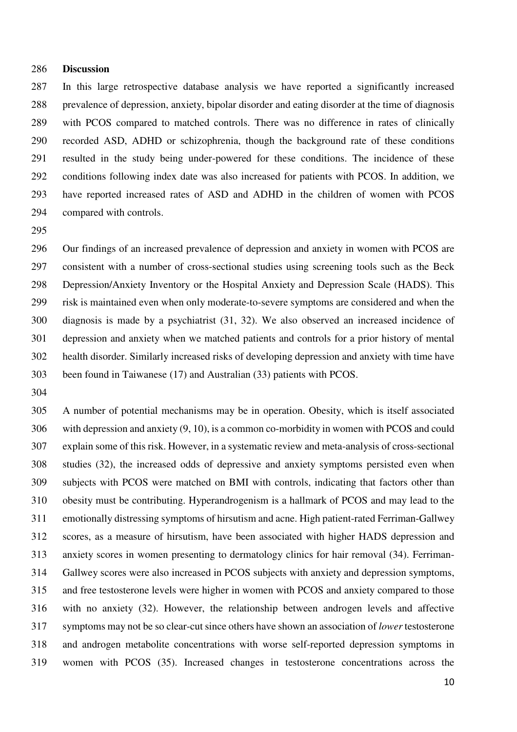#### 286 **Discussion**

287 In this large retrospective database analysis we have reported a significantly increased 288 prevalence of depression, anxiety, bipolar disorder and eating disorder at the time of diagnosis 289 with PCOS compared to matched controls. There was no difference in rates of clinically 290 recorded ASD, ADHD or schizophrenia, though the background rate of these conditions 291 resulted in the study being under-powered for these conditions. The incidence of these 292 conditions following index date was also increased for patients with PCOS. In addition, we 293 have reported increased rates of ASD and ADHD in the children of women with PCOS 294 compared with controls.

295

296 Our findings of an increased prevalence of depression and anxiety in women with PCOS are 297 consistent with a number of cross-sectional studies using screening tools such as the Beck 298 Depression/Anxiety Inventory or the Hospital Anxiety and Depression Scale (HADS). This 299 risk is maintained even when only moderate-to-severe symptoms are considered and when the 300 diagnosis is made by a psychiatrist (31, 32). We also observed an increased incidence of 301 depression and anxiety when we matched patients and controls for a prior history of mental 302 health disorder. Similarly increased risks of developing depression and anxiety with time have 303 been found in Taiwanese (17) and Australian (33) patients with PCOS.

304

305 A number of potential mechanisms may be in operation. Obesity, which is itself associated 306 with depression and anxiety (9, 10), is a common co-morbidity in women with PCOS and could 307 explain some of this risk. However, in a systematic review and meta-analysis of cross-sectional 308 studies (32), the increased odds of depressive and anxiety symptoms persisted even when 309 subjects with PCOS were matched on BMI with controls, indicating that factors other than 310 obesity must be contributing. Hyperandrogenism is a hallmark of PCOS and may lead to the 311 emotionally distressing symptoms of hirsutism and acne. High patient-rated Ferriman-Gallwey 312 scores, as a measure of hirsutism, have been associated with higher HADS depression and 313 anxiety scores in women presenting to dermatology clinics for hair removal (34). Ferriman-314 Gallwey scores were also increased in PCOS subjects with anxiety and depression symptoms, 315 and free testosterone levels were higher in women with PCOS and anxiety compared to those 316 with no anxiety (32). However, the relationship between androgen levels and affective 317 symptoms may not be so clear-cut since others have shown an association of *lower* testosterone 318 and androgen metabolite concentrations with worse self-reported depression symptoms in 319 women with PCOS (35). Increased changes in testosterone concentrations across the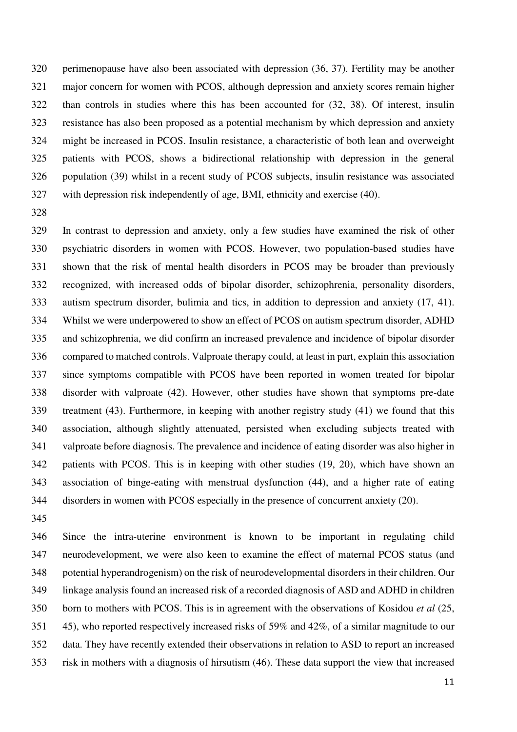320 perimenopause have also been associated with depression (36, 37). Fertility may be another 321 major concern for women with PCOS, although depression and anxiety scores remain higher 322 than controls in studies where this has been accounted for (32, 38). Of interest, insulin 323 resistance has also been proposed as a potential mechanism by which depression and anxiety 324 might be increased in PCOS. Insulin resistance, a characteristic of both lean and overweight 325 patients with PCOS, shows a bidirectional relationship with depression in the general 326 population (39) whilst in a recent study of PCOS subjects, insulin resistance was associated 327 with depression risk independently of age, BMI, ethnicity and exercise (40).

328

329 In contrast to depression and anxiety, only a few studies have examined the risk of other 330 psychiatric disorders in women with PCOS. However, two population-based studies have 331 shown that the risk of mental health disorders in PCOS may be broader than previously 332 recognized, with increased odds of bipolar disorder, schizophrenia, personality disorders, 333 autism spectrum disorder, bulimia and tics, in addition to depression and anxiety (17, 41). 334 Whilst we were underpowered to show an effect of PCOS on autism spectrum disorder, ADHD 335 and schizophrenia, we did confirm an increased prevalence and incidence of bipolar disorder 336 compared to matched controls. Valproate therapy could, at least in part, explain this association 337 since symptoms compatible with PCOS have been reported in women treated for bipolar 338 disorder with valproate (42). However, other studies have shown that symptoms pre-date 339 treatment (43). Furthermore, in keeping with another registry study (41) we found that this 340 association, although slightly attenuated, persisted when excluding subjects treated with 341 valproate before diagnosis. The prevalence and incidence of eating disorder was also higher in 342 patients with PCOS. This is in keeping with other studies (19, 20), which have shown an 343 association of binge-eating with menstrual dysfunction (44), and a higher rate of eating 344 disorders in women with PCOS especially in the presence of concurrent anxiety (20).

345

346 Since the intra-uterine environment is known to be important in regulating child 347 neurodevelopment, we were also keen to examine the effect of maternal PCOS status (and 348 potential hyperandrogenism) on the risk of neurodevelopmental disorders in their children. Our 349 linkage analysis found an increased risk of a recorded diagnosis of ASD and ADHD in children 350 born to mothers with PCOS. This is in agreement with the observations of Kosidou *et al* (25, 351 45), who reported respectively increased risks of 59% and 42%, of a similar magnitude to our 352 data. They have recently extended their observations in relation to ASD to report an increased 353 risk in mothers with a diagnosis of hirsutism (46). These data support the view that increased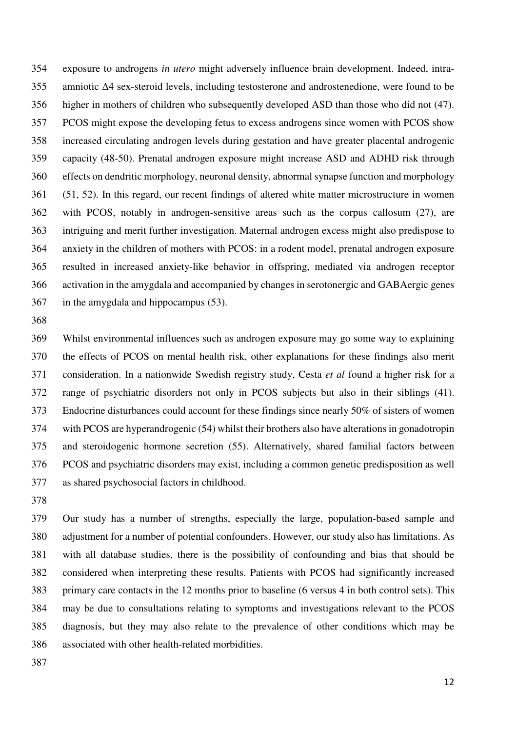354 exposure to androgens *in utero* might adversely influence brain development. Indeed, intra-355 amniotic Δ4 sex-steroid levels, including testosterone and androstenedione, were found to be 356 higher in mothers of children who subsequently developed ASD than those who did not (47). 357 PCOS might expose the developing fetus to excess androgens since women with PCOS show 358 increased circulating androgen levels during gestation and have greater placental androgenic 359 capacity (48-50). Prenatal androgen exposure might increase ASD and ADHD risk through 360 effects on dendritic morphology, neuronal density, abnormal synapse function and morphology 361 (51, 52). In this regard, our recent findings of altered white matter microstructure in women 362 with PCOS, notably in androgen-sensitive areas such as the corpus callosum (27), are 363 intriguing and merit further investigation. Maternal androgen excess might also predispose to 364 anxiety in the children of mothers with PCOS: in a rodent model, prenatal androgen exposure 365 resulted in increased anxiety-like behavior in offspring, mediated via androgen receptor 366 activation in the amygdala and accompanied by changes in serotonergic and GABAergic genes 367 in the amygdala and hippocampus (53).

368

369 Whilst environmental influences such as androgen exposure may go some way to explaining 370 the effects of PCOS on mental health risk, other explanations for these findings also merit 371 consideration. In a nationwide Swedish registry study, Cesta *et al* found a higher risk for a 372 range of psychiatric disorders not only in PCOS subjects but also in their siblings (41). 373 Endocrine disturbances could account for these findings since nearly 50% of sisters of women 374 with PCOS are hyperandrogenic (54) whilst their brothers also have alterations in gonadotropin 375 and steroidogenic hormone secretion (55). Alternatively, shared familial factors between 376 PCOS and psychiatric disorders may exist, including a common genetic predisposition as well 377 as shared psychosocial factors in childhood.

378

379 Our study has a number of strengths, especially the large, population-based sample and 380 adjustment for a number of potential confounders. However, our study also has limitations. As 381 with all database studies, there is the possibility of confounding and bias that should be 382 considered when interpreting these results. Patients with PCOS had significantly increased 383 primary care contacts in the 12 months prior to baseline (6 versus 4 in both control sets). This 384 may be due to consultations relating to symptoms and investigations relevant to the PCOS 385 diagnosis, but they may also relate to the prevalence of other conditions which may be 386 associated with other health-related morbidities.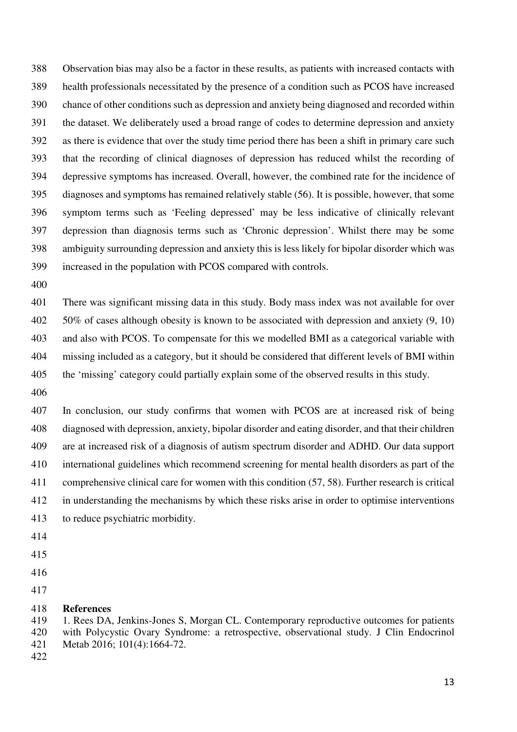388 Observation bias may also be a factor in these results, as patients with increased contacts with 389 health professionals necessitated by the presence of a condition such as PCOS have increased 390 chance of other conditions such as depression and anxiety being diagnosed and recorded within 391 the dataset. We deliberately used a broad range of codes to determine depression and anxiety 392 as there is evidence that over the study time period there has been a shift in primary care such 393 that the recording of clinical diagnoses of depression has reduced whilst the recording of 394 depressive symptoms has increased. Overall, however, the combined rate for the incidence of 395 diagnoses and symptoms has remained relatively stable (56). It is possible, however, that some 396 symptom terms such as 'Feeling depressed' may be less indicative of clinically relevant 397 depression than diagnosis terms such as 'Chronic depression'. Whilst there may be some 398 ambiguity surrounding depression and anxiety this is less likely for bipolar disorder which was 399 increased in the population with PCOS compared with controls.

400

401 There was significant missing data in this study. Body mass index was not available for over 402 50% of cases although obesity is known to be associated with depression and anxiety (9, 10) 403 and also with PCOS. To compensate for this we modelled BMI as a categorical variable with 404 missing included as a category, but it should be considered that different levels of BMI within 405 the 'missing' category could partially explain some of the observed results in this study.

406

407 In conclusion, our study confirms that women with PCOS are at increased risk of being 408 diagnosed with depression, anxiety, bipolar disorder and eating disorder, and that their children 409 are at increased risk of a diagnosis of autism spectrum disorder and ADHD. Our data support 410 international guidelines which recommend screening for mental health disorders as part of the 411 comprehensive clinical care for women with this condition (57, 58). Further research is critical 412 in understanding the mechanisms by which these risks arise in order to optimise interventions 413 to reduce psychiatric morbidity.

- 414
- 415
- 416
- 417

#### 418 **References**

419 1. Rees DA, Jenkins-Jones S, Morgan CL. Contemporary reproductive outcomes for patients 420 with Polycystic Ovary Syndrome: a retrospective, observational study. J Clin Endocrinol 421 Metab 2016; 101(4):1664-72.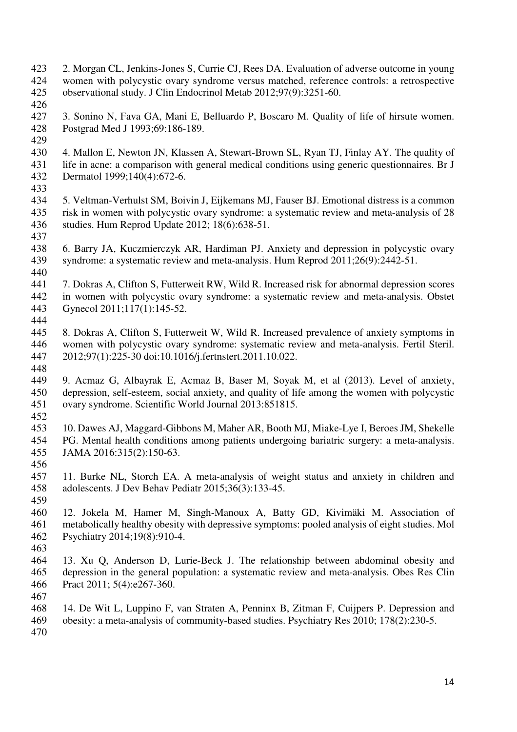- 423 2. Morgan CL, Jenkins-Jones S, Currie CJ, Rees DA. Evaluation of adverse outcome in young 424 women with polycystic ovary syndrome versus matched, reference controls: a retrospective observational study. J Clin Endocrinol Metab 2012;97(9):3251-60.
- 425 observational study. J Clin Endocrinol Metab 2012;97(9):3251-60.
- 426<br>427
- 427 3. Sonino N, Fava GA, Mani E, Belluardo P, Boscaro M. Quality of life of hirsute women. Postgrad Med J 1993;69:186-189.
- 
- 429<br>430 4. Mallon E, Newton JN, Klassen A, Stewart-Brown SL, Ryan TJ, Finlay AY. The quality of 431 life in acne: a comparison with general medical conditions using generic questionnaires. Br J<br>432 Dermatol 1999;140(4):672-6. Dermatol 1999;140(4):672-6.
- 
- 433<br>434 434 5. Veltman-Verhulst SM, Boivin J, Eijkemans MJ, Fauser BJ. Emotional distress is a common 435 risk in women with polycystic ovary syndrome: a systematic review and meta-analysis of 28 436 studies. Hum Reprod Update 2012; 18(6):638-51.
- 437<br>438 438 6. Barry JA, Kuczmierczyk AR, Hardiman PJ. Anxiety and depression in polycystic ovary 439 syndrome: a systematic review and meta-analysis. Hum Reprod 2011;26(9):2442-51. 440
- 441 7. Dokras A, Clifton S, Futterweit RW, Wild R. Increased risk for abnormal depression scores 442 in women with polycystic ovary syndrome: a systematic review and meta-analysis. Obstet 443 Gynecol 2011;117(1):145-52.
- 444
- 445 8. Dokras A, Clifton S, Futterweit W, Wild R. Increased prevalence of anxiety symptoms in 446 women with polycystic ovary syndrome: systematic review and meta-analysis. Fertil Steril.<br>447 2012;97(1):225-30 doi:10.1016/j.fertnstert.2011.10.022. 447 2012;97(1):225-30 doi:10.1016/j.fertnstert.2011.10.022.
- 448
- 449 9. Acmaz G, Albayrak E, Acmaz B, Baser M, Soyak M, et al (2013). Level of anxiety, 450 depression, self-esteem, social anxiety, and quality of life among the women with polycystic 451 ovary syndrome. Scientific World Journal 2013:851815.
- 452
- 453 10. Dawes AJ, Maggard-Gibbons M, Maher AR, Booth MJ, Miake-Lye I, Beroes JM, Shekelle 454 PG. Mental health conditions among patients undergoing bariatric surgery: a meta-analysis.<br>455 JAMA 2016:315(2):150-63. JAMA 2016:315(2):150-63.
- 456
- 457 11. Burke NL, Storch EA. A meta-analysis of weight status and anxiety in children and 458 adolescents. J Dev Behav Pediatr 2015;36(3):133-45.
- 459<br>460 12. Jokela M, Hamer M, Singh-Manoux A, Batty GD, Kivimäki M. Association of 461 metabolically healthy obesity with depressive symptoms: pooled analysis of eight studies. Mol 462 Psychiatry 2014;19(8):910-4.
- 463
- 464 13. Xu Q, Anderson D, Lurie-Beck J. The relationship between abdominal obesity and 465 depression in the general population: a systematic review and meta-analysis. Obes Res Clin 466 Pract 2011; 5(4):e267-360.
- 467
- 468 14. De Wit L, Luppino F, van Straten A, Penninx B, Zitman F, Cuijpers P. Depression and 469 obesity: a meta-analysis of community-based studies. Psychiatry Res 2010; 178(2):230-5.
- 470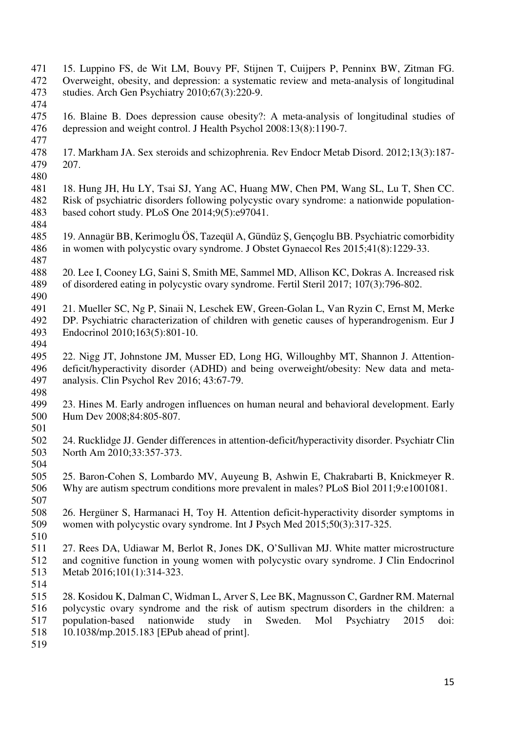- 471 15. Luppino FS, de Wit LM, Bouvy PF, Stijnen T, Cuijpers P, Penninx BW, Zitman FG.<br>472 Overweight, obesity, and depression: a systematic review and meta-analysis of longitudinal 472 Overweight, obesity, and depression: a systematic review and meta-analysis of longitudinal studies. Arch Gen Psychiatry 2010;67(3):220-9. studies. Arch Gen Psychiatry 2010;67(3):220-9.
- 474 475 16. Blaine B. Does depression cause obesity?: A meta-analysis of longitudinal studies of depression and weight control. J Health Psychol 2008:13(8):1190-7. depression and weight control. J Health Psychol 2008:13(8):1190-7.
- 477
- 17. Markham JA. Sex steroids and schizophrenia. Rev Endocr Metab Disord. 2012;13(3):187-479 207.
- 480
- 18. Hung JH, Hu LY, Tsai SJ, Yang AC, Huang MW, Chen PM, Wang SL, Lu T, Shen CC.<br>482 Risk of psychiatric disorders following polycystic ovary syndrome: a nationwide population-Risk of psychiatric disorders following polycystic ovary syndrome: a nationwide population-483 based cohort study. PLoS One 2014;9(5):e97041.
- 484<br>485 485 19. Annagür BB, Kerimoglu ÖS, Tazeqül A, Gündüz Ş, Gençoglu BB. Psychiatric comorbidity 486 in women with polycystic ovary syndrome. J Obstet Gynaecol Res 2015;41(8):1229-33.
- 487<br>488 488 20. Lee I, Cooney LG, Saini S, Smith ME, Sammel MD, Allison KC, Dokras A. Increased risk 489 of disordered eating in polycystic ovary syndrome. Fertil Steril 2017; 107(3):796-802. 490
- 491 21. Mueller SC, Ng P, Sinaii N, Leschek EW, Green-Golan L, Van Ryzin C, Ernst M, Merke 492 DP. Psychiatric characterization of children with genetic causes of hyperandrogenism. Eur J<br>493 Endocrinol 2010;163(5):801-10. Endocrinol 2010;163(5):801-10.
- 
- 494<br>495 22. Nigg JT, Johnstone JM, Musser ED, Long HG, Willoughby MT, Shannon J. Attention-496 deficit/hyperactivity disorder (ADHD) and being overweight/obesity: New data and meta-497 analysis. Clin Psychol Rev 2016; 43:67-79.
- 498<br>499
- 23. Hines M. Early androgen influences on human neural and behavioral development. Early 500 Hum Dev 2008;84:805-807.
- 501
- 502 24. Rucklidge JJ. Gender differences in attention-deficit/hyperactivity disorder. Psychiatr Clin North Am 2010;33:357-373.
- 504
- 505 25. Baron-Cohen S, Lombardo MV, Auyeung B, Ashwin E, Chakrabarti B, Knickmeyer R. 506 Why are autism spectrum conditions more prevalent in males? PLoS Biol 2011;9:e1001081.
- 507<br>508 508 26. Hergüner S, Harmanaci H, Toy H. Attention deficit-hyperactivity disorder symptoms in 509 women with polycystic ovary syndrome. Int J Psych Med 2015;50(3):317-325.
- 510
- 511 27. Rees DA, Udiawar M, Berlot R, Jones DK, O'Sullivan MJ. White matter microstructure 512 and cognitive function in young women with polycystic ovary syndrome. J Clin Endocrinol 513 Metab 2016;101(1):314-323.
- 514
- 515 28. Kosidou K, Dalman C, Widman L, Arver S, Lee BK, Magnusson C, Gardner RM. Maternal 516 polycystic ovary syndrome and the risk of autism spectrum disorders in the children: a 517 population-based nationwide study in Sweden. Mol Psychiatry 2015 doi: 518 10.1038/mp.2015.183 [EPub ahead of print].
- 519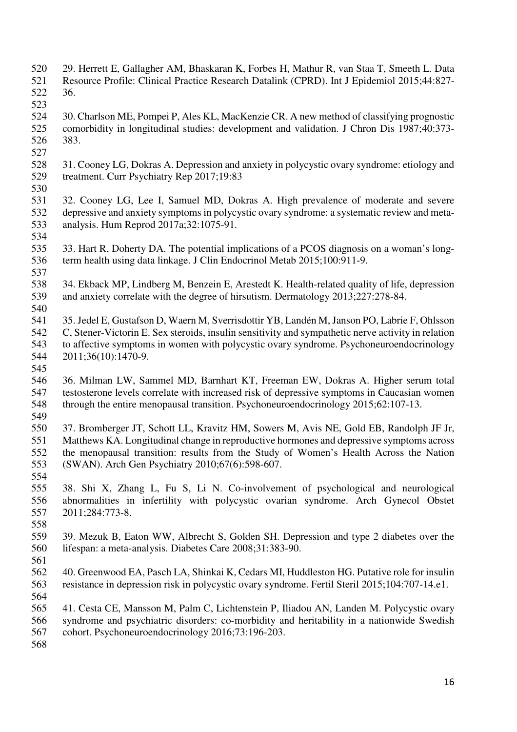- 520 29. Herrett E, Gallagher AM, Bhaskaran K, Forbes H, Mathur R, van Staa T, Smeeth L. Data<br>521 Resource Profile: Clinical Practice Research Datalink (CPRD). Int J Epidemiol 2015;44:827-521 Resource Profile: Clinical Practice Research Datalink (CPRD). Int J Epidemiol 2015;44:827-
- 522 36.
- 523<br>524 524 30. Charlson ME, Pompei P, Ales KL, MacKenzie CR. A new method of classifying prognostic<br>525 comorbidity in longitudinal studies: development and validation. J Chron Dis 1987;40:373-525 comorbidity in longitudinal studies: development and validation. J Chron Dis 1987;40:373- 526 383.
- 527
- 528 31. Cooney LG, Dokras A. Depression and anxiety in polycystic ovary syndrome: etiology and<br>529 treatment. Curr Psychiatry Rep 2017;19:83 treatment. Curr Psychiatry Rep 2017;19:83 530
- 531 32. Cooney LG, Lee I, Samuel MD, Dokras A. High prevalence of moderate and severe 532 depressive and anxiety symptoms in polycystic ovary syndrome: a systematic review and meta-<br>533 analysis. Hum Reprod 2017a:32:1075-91. 533 analysis. Hum Reprod 2017a;32:1075-91.
- 534<br>535 535 33. Hart R, Doherty DA. The potential implications of a PCOS diagnosis on a woman's long-536 term health using data linkage. J Clin Endocrinol Metab 2015;100:911-9. 537
- 538 34. Ekback MP, Lindberg M, Benzein E, Arestedt K. Health-related quality of life, depression<br>539 and anxiety correlate with the degree of hirsutism. Dermatology 2013;227:278-84. and anxiety correlate with the degree of hirsutism. Dermatology 2013;227:278-84.
- 540 541 35. Jedel E, Gustafson D, Waern M, Sverrisdottir YB, Landén M, Janson PO, Labrie F, Ohlsson 542 C, Stener-Victorin E. Sex steroids, insulin sensitivity and sympathetic nerve activity in relation 543 to affective symptoms in women with polycystic ovary syndrome. Psychoneuroendocrinology<br>544 2011;36(10):1470-9. 544 2011;36(10):1470-9.
- 545
- 546 36. Milman LW, Sammel MD, Barnhart KT, Freeman EW, Dokras A. Higher serum total 547 testosterone levels correlate with increased risk of depressive symptoms in Caucasian women 548 through the entire menopausal transition. Psychoneuroendocrinology 2015;62:107-13. 549
- 550 37. Bromberger JT, Schott LL, Kravitz HM, Sowers M, Avis NE, Gold EB, Randolph JF Jr, 551 Matthews KA. Longitudinal change in reproductive hormones and depressive symptoms across<br>552 the menopausal transition: results from the Study of Women's Health Across the Nation the menopausal transition: results from the Study of Women's Health Across the Nation 553 (SWAN). Arch Gen Psychiatry 2010;67(6):598-607.
- 554
- 555 38. Shi X, Zhang L, Fu S, Li N. Co-involvement of psychological and neurological 556 abnormalities in infertility with polycystic ovarian syndrome. Arch Gynecol Obstet 557 2011;284:773-8. 558
- 559 39. Mezuk B, Eaton WW, Albrecht S, Golden SH. Depression and type 2 diabetes over the 560 lifespan: a meta-analysis. Diabetes Care 2008;31:383-90.
- 561 562 40. Greenwood EA, Pasch LA, Shinkai K, Cedars MI, Huddleston HG. Putative role for insulin 563 resistance in depression risk in polycystic ovary syndrome. Fertil Steril 2015;104:707-14.e1. 564
- 565 41. Cesta CE, Mansson M, Palm C, Lichtenstein P, Iliadou AN, Landen M. Polycystic ovary 566 syndrome and psychiatric disorders: co-morbidity and heritability in a nationwide Swedish
- 567 cohort. Psychoneuroendocrinology 2016;73:196-203.
- 568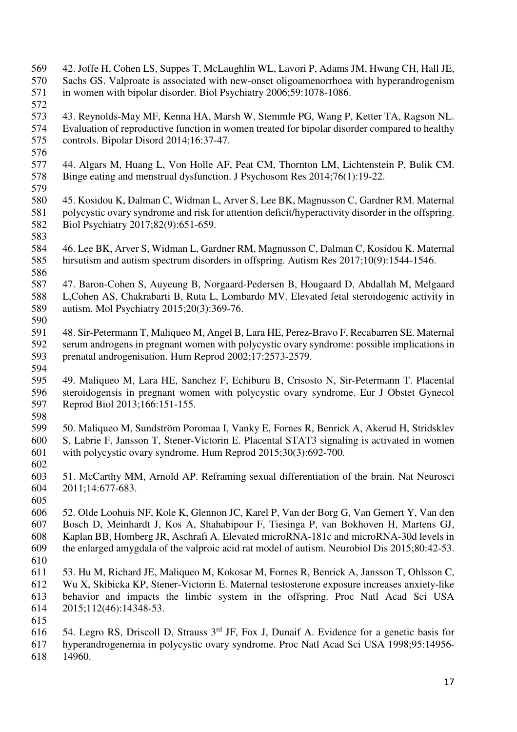- 569 42. Joffe H, Cohen LS, Suppes T, McLaughlin WL, Lavori P, Adams JM, Hwang CH, Hall JE, Sachs GS. Valproate is associated with new-onset oligoamenorrhoea with hyperandrogenism 570 Sachs GS. Valproate is associated with new-onset oligoamenorrhoea with hyperandrogenism<br>571 in women with bipolar disorder. Biol Psychiatry 2006;59:1078-1086. in women with bipolar disorder. Biol Psychiatry 2006;59:1078-1086.
- 572<br>573 573 43. Reynolds-May MF, Kenna HA, Marsh W, Stemmle PG, Wang P, Ketter TA, Ragson NL.<br>574 Evaluation of reproductive function in women treated for bipolar disorder compared to healthy 574 Evaluation of reproductive function in women treated for bipolar disorder compared to healthy<br>575 controls. Bipolar Disord 2014;16:37-47. controls. Bipolar Disord 2014;16:37-47.
- 576
- 577 44. Algars M, Huang L, Von Holle AF, Peat CM, Thornton LM, Lichtenstein P, Bulik CM.<br>578 Binge eating and menstrual dysfunction. J Psychosom Res 2014;76(1):19-22. 578 Binge eating and menstrual dysfunction. J Psychosom Res 2014;76(1):19-22. 579
- 580 45. Kosidou K, Dalman C, Widman L, Arver S, Lee BK, Magnusson C, Gardner RM. Maternal 581 polycystic ovary syndrome and risk for attention deficit/hyperactivity disorder in the offspring.<br>582 Biol Psychiatry 2017;82(9):651-659. 582 Biol Psychiatry 2017;82(9):651-659.
- 583 584 46. Lee BK, Arver S, Widman L, Gardner RM, Magnusson C, Dalman C, Kosidou K. Maternal 585 hirsutism and autism spectrum disorders in offspring. Autism Res 2017;10(9):1544-1546. 586
- 587 47. Baron-Cohen S, Auyeung B, Norgaard-Pedersen B, Hougaard D, Abdallah M, Melgaard 588 L,Cohen AS, Chakrabarti B, Ruta L, Lombardo MV. Elevated fetal steroidogenic activity in 589 autism. Mol Psychiatry 2015;20(3):369-76.
- 
- 590<br>591 591 48. Sir-Petermann T, Maliqueo M, Angel B, Lara HE, Perez-Bravo F, Recabarren SE. Maternal 592 serum androgens in pregnant women with polycystic ovary syndrome: possible implications in<br>593 prenatal androgenisation. Hum Reprod 2002;17:2573-2579. prenatal androgenisation. Hum Reprod 2002;17:2573-2579.
- 594
- 595 49. Maliqueo M, Lara HE, Sanchez F, Echiburu B, Crisosto N, Sir-Petermann T. Placental 596 steroidogensis in pregnant women with polycystic ovary syndrome. Eur J Obstet Gynecol 597 Reprod Biol 2013;166:151-155.
- 598

599 50. Maliqueo M, Sundström Poromaa I, Vanky E, Fornes R, Benrick A, Akerud H, Stridsklev 600 S, Labrie F, Jansson T, Stener-Victorin E. Placental STAT3 signaling is activated in women<br>601 with polycystic ovary syndrome. Hum Reprod 2015:30(3):692-700. with polycystic ovary syndrome. Hum Reprod 2015;30(3):692-700.

- 602
- 603 51. McCarthy MM, Arnold AP. Reframing sexual differentiation of the brain. Nat Neurosci 604 2011;14:677-683.
- 605

606 52. Olde Loohuis NF, Kole K, Glennon JC, Karel P, Van der Borg G, Van Gemert Y, Van den 607 Bosch D, Meinhardt J, Kos A, Shahabipour F, Tiesinga P, van Bokhoven H, Martens GJ, 608 Kaplan BB, Homberg JR, Aschrafi A. Elevated microRNA-181c and microRNA-30d levels in 609 the enlarged amygdala of the valproic acid rat model of autism. Neurobiol Dis 2015;80:42-53.

- 610
- 611 53. Hu M, Richard JE, Maliqueo M, Kokosar M, Fornes R, Benrick A, Jansson T, Ohlsson C, 612 Wu X, Skibicka KP, Stener-Victorin E. Maternal testosterone exposure increases anxiety-like 613 behavior and impacts the limbic system in the offspring. Proc Natl Acad Sci USA 614 2015;112(46):14348-53.
- 615

<sup>616 54.</sup> Legro RS, Driscoll D, Strauss  $3<sup>rd</sup>$  JF, Fox J, Dunaif A. Evidence for a genetic basis for 617 hyperandrogenemia in polycystic ovary syndrome. Proc Natl Acad Sci USA 1998;95:14956- 618 14960.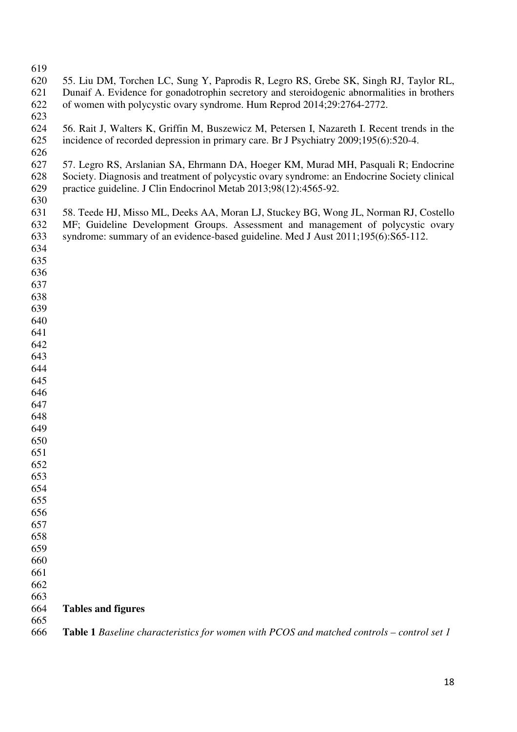| 619 |                                                                                                  |
|-----|--------------------------------------------------------------------------------------------------|
| 620 | 55. Liu DM, Torchen LC, Sung Y, Paprodis R, Legro RS, Grebe SK, Singh RJ, Taylor RL,             |
| 621 | Dunaif A. Evidence for gonadotrophin secretory and steroidogenic abnormalities in brothers       |
| 622 | of women with polycystic ovary syndrome. Hum Reprod 2014;29:2764-2772.                           |
|     |                                                                                                  |
| 623 |                                                                                                  |
| 624 | 56. Rait J, Walters K, Griffin M, Buszewicz M, Petersen I, Nazareth I. Recent trends in the      |
| 625 | incidence of recorded depression in primary care. Br J Psychiatry 2009;195(6):520-4.             |
| 626 |                                                                                                  |
| 627 | 57. Legro RS, Arslanian SA, Ehrmann DA, Hoeger KM, Murad MH, Pasquali R; Endocrine               |
| 628 | Society. Diagnosis and treatment of polycystic ovary syndrome: an Endocrine Society clinical     |
| 629 | practice guideline. J Clin Endocrinol Metab 2013;98(12):4565-92.                                 |
| 630 |                                                                                                  |
|     |                                                                                                  |
| 631 | 58. Teede HJ, Misso ML, Deeks AA, Moran LJ, Stuckey BG, Wong JL, Norman RJ, Costello             |
| 632 | MF; Guideline Development Groups. Assessment and management of polycystic ovary                  |
| 633 | syndrome: summary of an evidence-based guideline. Med J Aust 2011;195(6):S65-112.                |
| 634 |                                                                                                  |
| 635 |                                                                                                  |
| 636 |                                                                                                  |
| 637 |                                                                                                  |
| 638 |                                                                                                  |
| 639 |                                                                                                  |
| 640 |                                                                                                  |
| 641 |                                                                                                  |
| 642 |                                                                                                  |
| 643 |                                                                                                  |
|     |                                                                                                  |
| 644 |                                                                                                  |
| 645 |                                                                                                  |
| 646 |                                                                                                  |
| 647 |                                                                                                  |
| 648 |                                                                                                  |
| 649 |                                                                                                  |
| 650 |                                                                                                  |
| 651 |                                                                                                  |
| 652 |                                                                                                  |
| 653 |                                                                                                  |
| 654 |                                                                                                  |
| 655 |                                                                                                  |
| 656 |                                                                                                  |
| 657 |                                                                                                  |
|     |                                                                                                  |
| 658 |                                                                                                  |
| 659 |                                                                                                  |
| 660 |                                                                                                  |
| 661 |                                                                                                  |
| 662 |                                                                                                  |
| 663 |                                                                                                  |
| 664 | <b>Tables and figures</b>                                                                        |
| 665 |                                                                                                  |
| 666 | <b>Table 1</b> Baseline characteristics for women with PCOS and matched controls – control set 1 |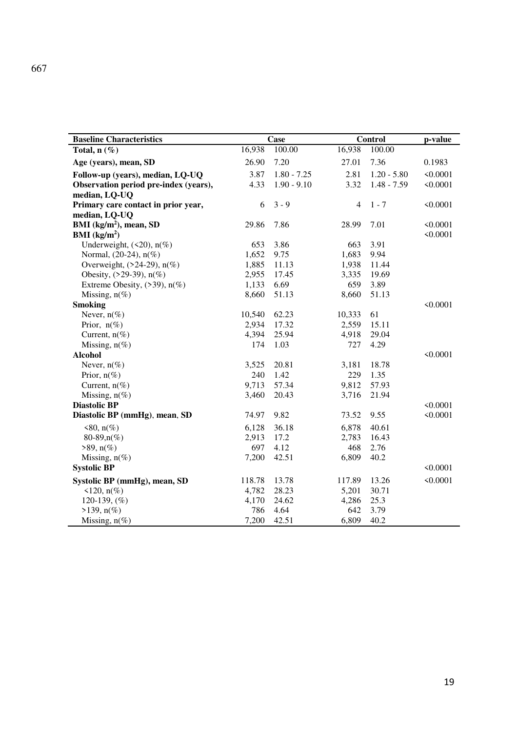| <b>Baseline Characteristics</b>       | Case   |               |                | <b>Control</b> |               |
|---------------------------------------|--------|---------------|----------------|----------------|---------------|
| Total, $n(\%)$                        | 16,938 | 100.00        | 16,938         | 100.00         |               |
| Age (years), mean, SD                 | 26.90  | 7.20          | 27.01          | 7.36           | 0.1983        |
| Follow-up (years), median, LQ-UQ      | 3.87   | $1.80 - 7.25$ | 2.81           | $1.20 - 5.80$  | < 0.0001      |
| Observation period pre-index (years), | 4.33   | $1.90 - 9.10$ | 3.32           | $1.48 - 7.59$  | < 0.0001      |
| median, LQ-UQ                         |        |               |                |                |               |
| Primary care contact in prior year,   | 6      | $3 - 9$       | $\overline{4}$ | $1 - 7$        | < 0.0001      |
| median, LQ-UQ                         |        |               |                |                |               |
| BMI $(kg/m2)$ , mean, SD              | 29.86  | 7.86          | 28.99          | 7.01           | $\leq 0.0001$ |
| BMI (kg/m <sup>2</sup> )              |        |               |                |                | < 0.0001      |
| Underweight, $(\leq 20)$ , $n(\%)$    | 653    | 3.86          | 663            | 3.91           |               |
| Normal, (20-24), n(%)                 | 1,652  | 9.75          | 1,683          | 9.94           |               |
| Overweight, $(24-29)$ , n(%)          | 1,885  | 11.13         | 1,938          | 11.44          |               |
| Obesity, $(29-39)$ , $n(\%)$          | 2,955  | 17.45         | 3,335          | 19.69          |               |
| Extreme Obesity, $(>39)$ , $n(\%)$    | 1,133  | 6.69          | 659            | 3.89           |               |
| Missing, $n(\%)$                      | 8,660  | 51.13         | 8,660          | 51.13          |               |
| <b>Smoking</b>                        |        |               |                |                | < 0.0001      |
| Never, $n(\%)$                        | 10,540 | 62.23         | 10,333         | 61             |               |
| Prior, $n(\%)$                        | 2,934  | 17.32         | 2,559          | 15.11          |               |
| Current, $n(\%)$                      | 4,394  | 25.94         | 4,918          | 29.04          |               |
| Missing, $n(\%)$                      | 174    | 1.03          | 727            | 4.29           |               |
| <b>Alcohol</b>                        |        |               |                |                | < 0.0001      |
| Never, $n(\%)$                        | 3,525  | 20.81         | 3,181          | 18.78          |               |
| Prior, $n(\%)$                        | 240    | 1.42          | 229            | 1.35           |               |
| Current, $n(\%)$                      | 9,713  | 57.34         | 9,812          | 57.93          |               |
| Missing, $n(\%)$                      | 3,460  | 20.43         | 3,716          | 21.94          |               |
| <b>Diastolic BP</b>                   |        |               |                |                | < 0.0001      |
| Diastolic BP (mmHg), mean, SD         | 74.97  | 9.82          | 73.52          | 9.55           | < 0.0001      |
| $<80$ , n(%)                          | 6,128  | 36.18         | 6,878          | 40.61          |               |
| $80-89, n(\%)$                        | 2,913  | 17.2          | 2,783          | 16.43          |               |
| $>89$ , n(%)                          | 697    | 4.12          | 468            | 2.76           |               |
| Missing, $n(\%)$                      | 7,200  | 42.51         | 6,809          | 40.2           |               |
| <b>Systolic BP</b>                    |        |               |                |                | < 0.0001      |
| Systolic BP (mmHg), mean, SD          | 118.78 | 13.78         | 117.89         | 13.26          | < 0.0001      |
| $\leq 120$ , n(%)                     | 4,782  | 28.23         | 5,201          | 30.71          |               |
| 120-139, $(\%)$                       | 4,170  | 24.62         | 4,286          | 25.3           |               |
| $>139$ , n(%)                         | 786    | 4.64          | 642            | 3.79           |               |
| Missing, $n(\%)$                      | 7,200  | 42.51         | 6,809          | 40.2           |               |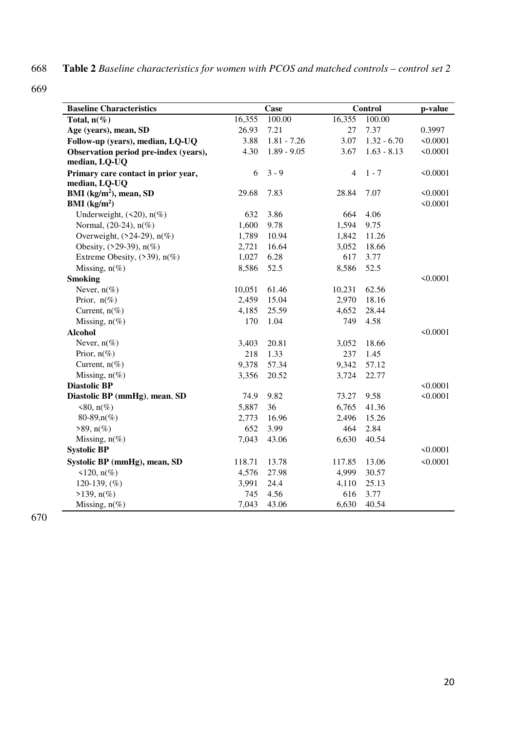668 **Table 2** *Baseline characteristics for women with PCOS and matched controls – control set 2* 

669

| <b>Baseline Characteristics</b>       |        | Case          |                | Control       | p-value  |
|---------------------------------------|--------|---------------|----------------|---------------|----------|
| Total, $n(\%)$                        | 16,355 | 100.00        | 16,355         | 100.00        |          |
| Age (years), mean, SD                 | 26.93  | 7.21          | 27             | 7.37          | 0.3997   |
| Follow-up (years), median, LQ-UQ      | 3.88   | $1.81 - 7.26$ | 3.07           | $1.32 - 6.70$ | < 0.0001 |
| Observation period pre-index (years), | 4.30   | $1.89 - 9.05$ | 3.67           | $1.63 - 8.13$ | < 0.0001 |
| median, LQ-UQ                         |        |               |                |               |          |
| Primary care contact in prior year,   | 6      | $3 - 9$       | $\overline{4}$ | $1 - 7$       | < 0.0001 |
| median, LQ-UQ                         |        |               |                |               |          |
| BMI $(kg/m2)$ , mean, SD              | 29.68  | 7.83          | 28.84          | 7.07          | < 0.0001 |
| BMI (kg/m <sup>2</sup> )              |        |               |                |               | < 0.0001 |
| Underweight, $(\leq 20)$ , $n(\%)$    | 632    | 3.86          | 664            | 4.06          |          |
| Normal, $(20-24)$ , $n(\%)$           | 1,600  | 9.78          | 1,594          | 9.75          |          |
| Overweight, $(24-29)$ , $n(\%)$       | 1,789  | 10.94         | 1,842          | 11.26         |          |
| Obesity, $(29-39)$ , $n(\%)$          | 2,721  | 16.64         | 3,052          | 18.66         |          |
| Extreme Obesity, $(>39)$ , $n(\%)$    | 1,027  | 6.28          | 617            | 3.77          |          |
| Missing, $n(\%)$                      | 8,586  | 52.5          | 8,586          | 52.5          |          |
| <b>Smoking</b>                        |        |               |                |               | < 0.0001 |
| Never, $n(\%)$                        | 10,051 | 61.46         | 10,231         | 62.56         |          |
| Prior, $n(\%)$                        | 2,459  | 15.04         | 2,970          | 18.16         |          |
| Current, $n(\%)$                      | 4,185  | 25.59         | 4,652          | 28.44         |          |
| Missing, $n(\%)$                      | 170    | 1.04          | 749            | 4.58          |          |
| <b>Alcohol</b>                        |        |               |                |               | < 0.0001 |
| Never, $n(\%)$                        | 3,403  | 20.81         | 3,052          | 18.66         |          |
| Prior, $n(\%)$                        | 218    | 1.33          | 237            | 1.45          |          |
| Current, $n(\%)$                      | 9,378  | 57.34         | 9,342          | 57.12         |          |
| Missing, $n(\%)$                      | 3,356  | 20.52         | 3,724          | 22.77         |          |
| <b>Diastolic BP</b>                   |        |               |                |               | < 0.0001 |
| Diastolic BP (mmHg), mean, SD         | 74.9   | 9.82          | 73.27          | 9.58          | < 0.0001 |
| $<80$ , n(%)                          | 5,887  | 36            | 6,765          | 41.36         |          |
| 80-89,n(%)                            | 2,773  | 16.96         | 2,496          | 15.26         |          |
| $>89$ , n(%)                          | 652    | 3.99          | 464            | 2.84          |          |
| Missing, $n(\%)$                      | 7,043  | 43.06         | 6,630          | 40.54         |          |
| <b>Systolic BP</b>                    |        |               |                |               | < 0.0001 |
| Systolic BP (mmHg), mean, SD          | 118.71 | 13.78         | 117.85         | 13.06         | < 0.0001 |
| $\leq$ 120, n(%)                      | 4,576  | 27.98         | 4,999          | 30.57         |          |
| 120-139, $(\%)$                       | 3,991  | 24.4          | 4,110          | 25.13         |          |
| $>139$ , n(%)                         | 745    | 4.56          | 616            | 3.77          |          |
| Missing, $n(\%)$                      | 7,043  | 43.06         | 6,630          | 40.54         |          |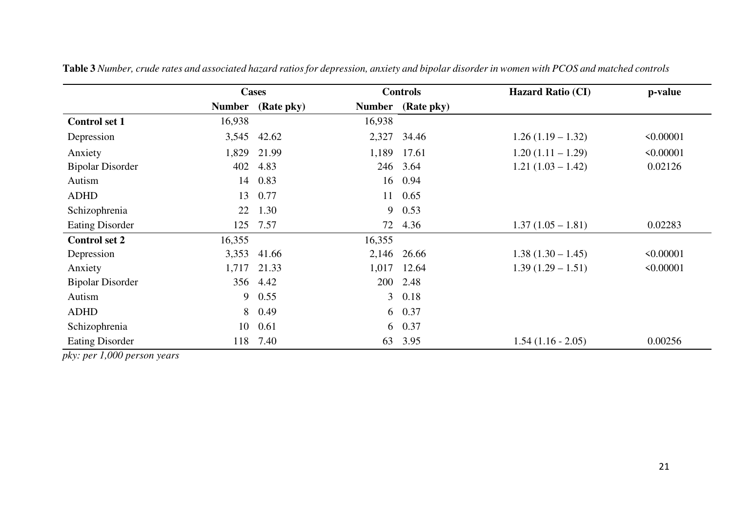|                         |               | <b>Cases</b> | <b>Controls</b> |            | <b>Hazard Ratio (CI)</b> | p-value        |  |
|-------------------------|---------------|--------------|-----------------|------------|--------------------------|----------------|--|
|                         | <b>Number</b> | (Rate pky)   | <b>Number</b>   | (Rate pky) |                          |                |  |
| <b>Control set 1</b>    | 16,938        |              | 16,938          |            |                          |                |  |
| Depression              | 3,545         | 42.62        | 2,327           | 34.46      | $1.26(1.19-1.32)$        | < 0.00001      |  |
| Anxiety                 | 1,829         | 21.99        | 1,189           | 17.61      | $1.20(1.11 - 1.29)$      | < 0.00001      |  |
| <b>Bipolar Disorder</b> | 402           | 4.83         |                 | 246 3.64   | $1.21(1.03 - 1.42)$      | 0.02126        |  |
| Autism                  | 14            | 0.83         | 16              | 0.94       |                          |                |  |
| <b>ADHD</b>             | 13            | 0.77         | 11              | 0.65       |                          |                |  |
| Schizophrenia           | 22            | 1.30         | 9               | 0.53       |                          |                |  |
| <b>Eating Disorder</b>  | 125           | 7.57         | 72              | 4.36       | $1.37(1.05 - 1.81)$      | 0.02283        |  |
| <b>Control set 2</b>    | 16,355        |              | 16,355          |            |                          |                |  |
| Depression              | 3,353         | 41.66        | 2,146           | 26.66      | $1.38(1.30 - 1.45)$      | $\leq 0.00001$ |  |
| Anxiety                 | 1,717         | 21.33        | 1,017           | 12.64      | $1.39(1.29 - 1.51)$      | < 0.00001      |  |
| <b>Bipolar Disorder</b> | 356           | 4.42         | 200             | 2.48       |                          |                |  |
| Autism                  | 9             | 0.55         | 3 <sup>7</sup>  | 0.18       |                          |                |  |
| <b>ADHD</b>             | 8             | 0.49         |                 | 6 0.37     |                          |                |  |
| Schizophrenia           | 10            | 0.61         |                 | 6 0.37     |                          |                |  |
| <b>Eating Disorder</b>  | 118           | 7.40         | 63              | 3.95       | $1.54(1.16 - 2.05)$      | 0.00256        |  |

**Table 3** *Number, crude rates and associated hazard ratios for depression, anxiety and bipolar disorder in women with PCOS and matched controls* 

*pky: per 1,000 person years*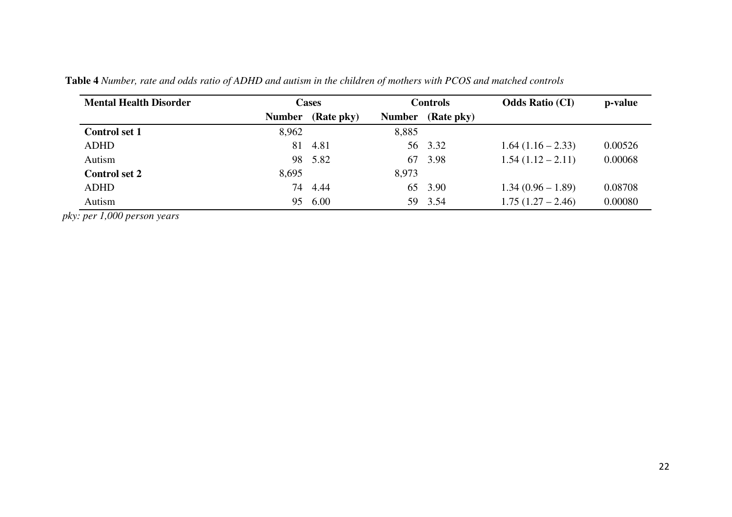| <b>Mental Health Disorder</b> | <b>Cases</b>  |            | <b>Controls</b> |            | <b>Odds Ratio (CI)</b> | p-value |
|-------------------------------|---------------|------------|-----------------|------------|------------------------|---------|
|                               | <b>Number</b> | (Rate pky) | <b>Number</b>   | (Rate pky) |                        |         |
| <b>Control set 1</b>          | 8,962         |            | 8,885           |            |                        |         |
| <b>ADHD</b>                   | 81            | 4.81       |                 | 56 3.32    | $1.64(1.16-2.33)$      | 0.00526 |
| Autism                        |               | 98 5.82    | 67              | 3.98       | $1.54(1.12-2.11)$      | 0.00068 |
| <b>Control set 2</b>          | 8,695         |            | 8,973           |            |                        |         |
| <b>ADHD</b>                   | 74            | 4.44       |                 | 65 3.90    | $1.34(0.96 - 1.89)$    | 0.08708 |
| Autism                        | 95            | 6.00       |                 | 59 3.54    | $1.75(1.27-2.46)$      | 0.00080 |

**Table 4** *Number, rate and odds ratio of ADHD and autism in the children of mothers with PCOS and matched controls* 

*pky: per 1,000 person years*